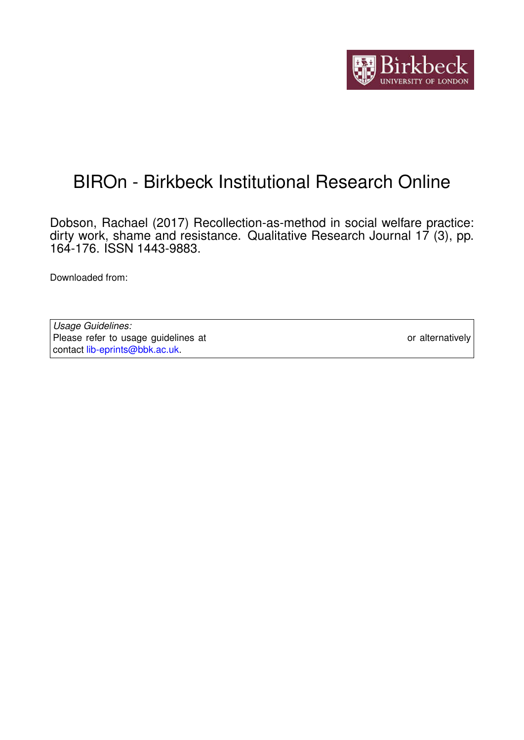

# BIROn - Birkbeck Institutional Research Online

Dobson, Rachael (2017) Recollection-as-method in social welfare practice: dirty work, shame and resistance. Qualitative Research Journal 17 (3), pp. 164-176. ISSN 1443-9883.

Downloaded from: <https://eprints.bbk.ac.uk/id/eprint/20544/>

*Usage Guidelines:* Please refer to usage guidelines at <https://eprints.bbk.ac.uk/policies.html> or alternatively contact [lib-eprints@bbk.ac.uk.](mailto:lib-eprints@bbk.ac.uk)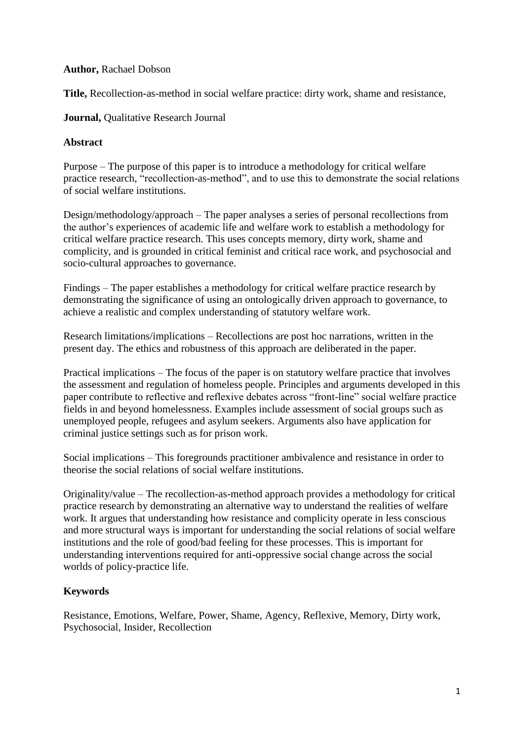#### **Author,** Rachael Dobson

**Title,** Recollection-as-method in social welfare practice: dirty work, shame and resistance,

# **Journal,** Qualitative Research Journal

### **Abstract**

Purpose – The purpose of this paper is to introduce a methodology for critical welfare practice research, "recollection-as-method", and to use this to demonstrate the social relations of social welfare institutions.

Design/methodology/approach – The paper analyses a series of personal recollections from the author's experiences of academic life and welfare work to establish a methodology for critical welfare practice research. This uses concepts memory, dirty work, shame and complicity, and is grounded in critical feminist and critical race work, and psychosocial and socio-cultural approaches to governance.

Findings – The paper establishes a methodology for critical welfare practice research by demonstrating the significance of using an ontologically driven approach to governance, to achieve a realistic and complex understanding of statutory welfare work.

Research limitations/implications – Recollections are post hoc narrations, written in the present day. The ethics and robustness of this approach are deliberated in the paper.

Practical implications – The focus of the paper is on statutory welfare practice that involves the assessment and regulation of homeless people. Principles and arguments developed in this paper contribute to reflective and reflexive debates across "front-line" social welfare practice fields in and beyond homelessness. Examples include assessment of social groups such as unemployed people, refugees and asylum seekers. Arguments also have application for criminal justice settings such as for prison work.

Social implications – This foregrounds practitioner ambivalence and resistance in order to theorise the social relations of social welfare institutions.

Originality/value – The recollection-as-method approach provides a methodology for critical practice research by demonstrating an alternative way to understand the realities of welfare work. It argues that understanding how resistance and complicity operate in less conscious and more structural ways is important for understanding the social relations of social welfare institutions and the role of good/bad feeling for these processes. This is important for understanding interventions required for anti-oppressive social change across the social worlds of policy-practice life.

# **Keywords**

Resistance, Emotions, Welfare, Power, Shame, Agency, Reflexive, Memory, Dirty work, Psychosocial, Insider, Recollection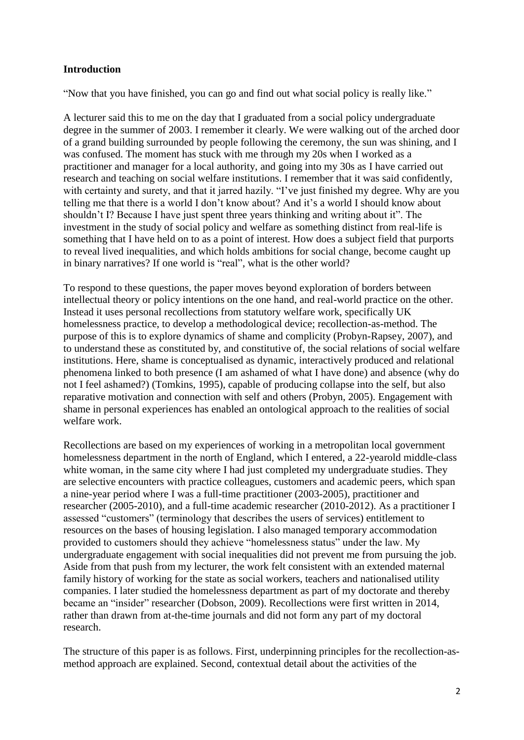## **Introduction**

"Now that you have finished, you can go and find out what social policy is really like."

A lecturer said this to me on the day that I graduated from a social policy undergraduate degree in the summer of 2003. I remember it clearly. We were walking out of the arched door of a grand building surrounded by people following the ceremony, the sun was shining, and I was confused. The moment has stuck with me through my 20s when I worked as a practitioner and manager for a local authority, and going into my 30s as I have carried out research and teaching on social welfare institutions. I remember that it was said confidently, with certainty and surety, and that it jarred hazily. "I've just finished my degree. Why are you telling me that there is a world I don't know about? And it's a world I should know about shouldn't I? Because I have just spent three years thinking and writing about it". The investment in the study of social policy and welfare as something distinct from real-life is something that I have held on to as a point of interest. How does a subject field that purports to reveal lived inequalities, and which holds ambitions for social change, become caught up in binary narratives? If one world is "real", what is the other world?

To respond to these questions, the paper moves beyond exploration of borders between intellectual theory or policy intentions on the one hand, and real-world practice on the other. Instead it uses personal recollections from statutory welfare work, specifically UK homelessness practice, to develop a methodological device; recollection-as-method. The purpose of this is to explore dynamics of shame and complicity (Probyn-Rapsey, 2007), and to understand these as constituted by, and constitutive of, the social relations of social welfare institutions. Here, shame is conceptualised as dynamic, interactively produced and relational phenomena linked to both presence (I am ashamed of what I have done) and absence (why do not I feel ashamed?) (Tomkins, 1995), capable of producing collapse into the self, but also reparative motivation and connection with self and others (Probyn, 2005). Engagement with shame in personal experiences has enabled an ontological approach to the realities of social welfare work.

Recollections are based on my experiences of working in a metropolitan local government homelessness department in the north of England, which I entered, a 22-yearold middle-class white woman, in the same city where I had just completed my undergraduate studies. They are selective encounters with practice colleagues, customers and academic peers, which span a nine-year period where I was a full-time practitioner (2003-2005), practitioner and researcher (2005-2010), and a full-time academic researcher (2010-2012). As a practitioner I assessed "customers" (terminology that describes the users of services) entitlement to resources on the bases of housing legislation. I also managed temporary accommodation provided to customers should they achieve "homelessness status" under the law. My undergraduate engagement with social inequalities did not prevent me from pursuing the job. Aside from that push from my lecturer, the work felt consistent with an extended maternal family history of working for the state as social workers, teachers and nationalised utility companies. I later studied the homelessness department as part of my doctorate and thereby became an "insider" researcher (Dobson, 2009). Recollections were first written in 2014, rather than drawn from at-the-time journals and did not form any part of my doctoral research.

The structure of this paper is as follows. First, underpinning principles for the recollection-asmethod approach are explained. Second, contextual detail about the activities of the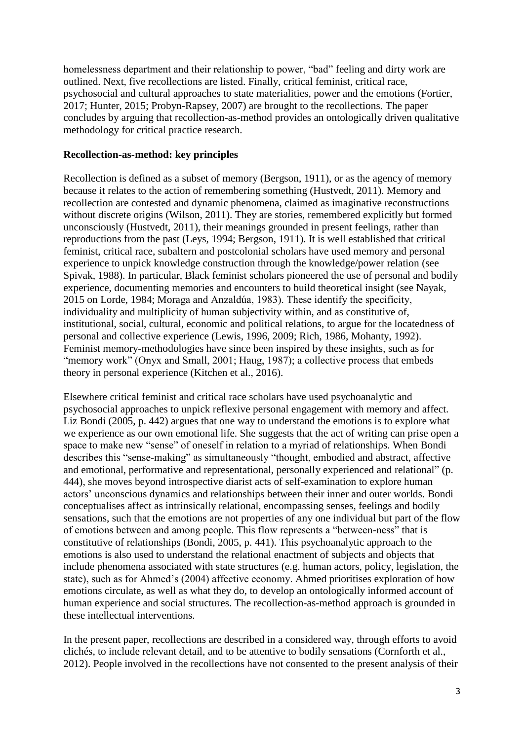homelessness department and their relationship to power, "bad" feeling and dirty work are outlined. Next, five recollections are listed. Finally, critical feminist, critical race, psychosocial and cultural approaches to state materialities, power and the emotions (Fortier, 2017; Hunter, 2015; Probyn-Rapsey, 2007) are brought to the recollections. The paper concludes by arguing that recollection-as-method provides an ontologically driven qualitative methodology for critical practice research.

### **Recollection-as-method: key principles**

Recollection is defined as a subset of memory (Bergson, 1911), or as the agency of memory because it relates to the action of remembering something (Hustvedt, 2011). Memory and recollection are contested and dynamic phenomena, claimed as imaginative reconstructions without discrete origins (Wilson, 2011). They are stories, remembered explicitly but formed unconsciously (Hustvedt, 2011), their meanings grounded in present feelings, rather than reproductions from the past (Leys, 1994; Bergson, 1911). It is well established that critical feminist, critical race, subaltern and postcolonial scholars have used memory and personal experience to unpick knowledge construction through the knowledge/power relation (see Spivak, 1988). In particular, Black feminist scholars pioneered the use of personal and bodily experience, documenting memories and encounters to build theoretical insight (see Nayak, 2015 on Lorde, 1984; Moraga and Anzaldúa, 1983). These identify the specificity, individuality and multiplicity of human subjectivity within, and as constitutive of, institutional, social, cultural, economic and political relations, to argue for the locatedness of personal and collective experience (Lewis, 1996, 2009; Rich, 1986, Mohanty, 1992). Feminist memory-methodologies have since been inspired by these insights, such as for "memory work" (Onyx and Small, 2001; Haug, 1987); a collective process that embeds theory in personal experience (Kitchen et al., 2016).

Elsewhere critical feminist and critical race scholars have used psychoanalytic and psychosocial approaches to unpick reflexive personal engagement with memory and affect. Liz Bondi (2005, p. 442) argues that one way to understand the emotions is to explore what we experience as our own emotional life. She suggests that the act of writing can prise open a space to make new "sense" of oneself in relation to a myriad of relationships. When Bondi describes this "sense-making" as simultaneously "thought, embodied and abstract, affective and emotional, performative and representational, personally experienced and relational" (p. 444), she moves beyond introspective diarist acts of self-examination to explore human actors' unconscious dynamics and relationships between their inner and outer worlds. Bondi conceptualises affect as intrinsically relational, encompassing senses, feelings and bodily sensations, such that the emotions are not properties of any one individual but part of the flow of emotions between and among people. This flow represents a "between-ness" that is constitutive of relationships (Bondi, 2005, p. 441). This psychoanalytic approach to the emotions is also used to understand the relational enactment of subjects and objects that include phenomena associated with state structures (e.g. human actors, policy, legislation, the state), such as for Ahmed's (2004) affective economy. Ahmed prioritises exploration of how emotions circulate, as well as what they do, to develop an ontologically informed account of human experience and social structures. The recollection-as-method approach is grounded in these intellectual interventions.

In the present paper, recollections are described in a considered way, through efforts to avoid clichés, to include relevant detail, and to be attentive to bodily sensations (Cornforth et al., 2012). People involved in the recollections have not consented to the present analysis of their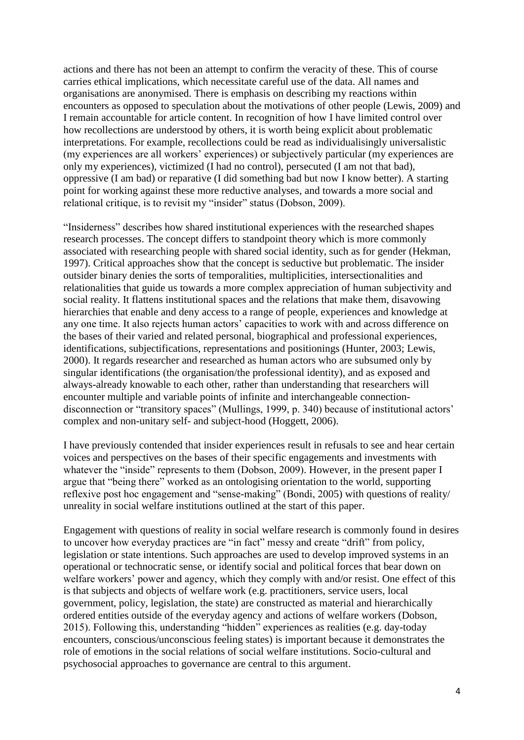actions and there has not been an attempt to confirm the veracity of these. This of course carries ethical implications, which necessitate careful use of the data. All names and organisations are anonymised. There is emphasis on describing my reactions within encounters as opposed to speculation about the motivations of other people (Lewis, 2009) and I remain accountable for article content. In recognition of how I have limited control over how recollections are understood by others, it is worth being explicit about problematic interpretations. For example, recollections could be read as individualisingly universalistic (my experiences are all workers' experiences) or subjectively particular (my experiences are only my experiences), victimized (I had no control), persecuted (I am not that bad), oppressive (I am bad) or reparative (I did something bad but now I know better). A starting point for working against these more reductive analyses, and towards a more social and relational critique, is to revisit my "insider" status (Dobson, 2009).

"Insiderness" describes how shared institutional experiences with the researched shapes research processes. The concept differs to standpoint theory which is more commonly associated with researching people with shared social identity, such as for gender (Hekman, 1997). Critical approaches show that the concept is seductive but problematic. The insider outsider binary denies the sorts of temporalities, multiplicities, intersectionalities and relationalities that guide us towards a more complex appreciation of human subjectivity and social reality. It flattens institutional spaces and the relations that make them, disavowing hierarchies that enable and deny access to a range of people, experiences and knowledge at any one time. It also rejects human actors' capacities to work with and across difference on the bases of their varied and related personal, biographical and professional experiences, identifications, subjectifications, representations and positionings (Hunter, 2003; Lewis, 2000). It regards researcher and researched as human actors who are subsumed only by singular identifications (the organisation/the professional identity), and as exposed and always-already knowable to each other, rather than understanding that researchers will encounter multiple and variable points of infinite and interchangeable connectiondisconnection or "transitory spaces" (Mullings, 1999, p. 340) because of institutional actors' complex and non-unitary self- and subject-hood (Hoggett, 2006).

I have previously contended that insider experiences result in refusals to see and hear certain voices and perspectives on the bases of their specific engagements and investments with whatever the "inside" represents to them (Dobson, 2009). However, in the present paper I argue that "being there" worked as an ontologising orientation to the world, supporting reflexive post hoc engagement and "sense-making" (Bondi, 2005) with questions of reality/ unreality in social welfare institutions outlined at the start of this paper.

Engagement with questions of reality in social welfare research is commonly found in desires to uncover how everyday practices are "in fact" messy and create "drift" from policy, legislation or state intentions. Such approaches are used to develop improved systems in an operational or technocratic sense, or identify social and political forces that bear down on welfare workers' power and agency, which they comply with and/or resist. One effect of this is that subjects and objects of welfare work (e.g. practitioners, service users, local government, policy, legislation, the state) are constructed as material and hierarchically ordered entities outside of the everyday agency and actions of welfare workers (Dobson, 2015). Following this, understanding "hidden" experiences as realities (e.g. day-today encounters, conscious/unconscious feeling states) is important because it demonstrates the role of emotions in the social relations of social welfare institutions. Socio-cultural and psychosocial approaches to governance are central to this argument.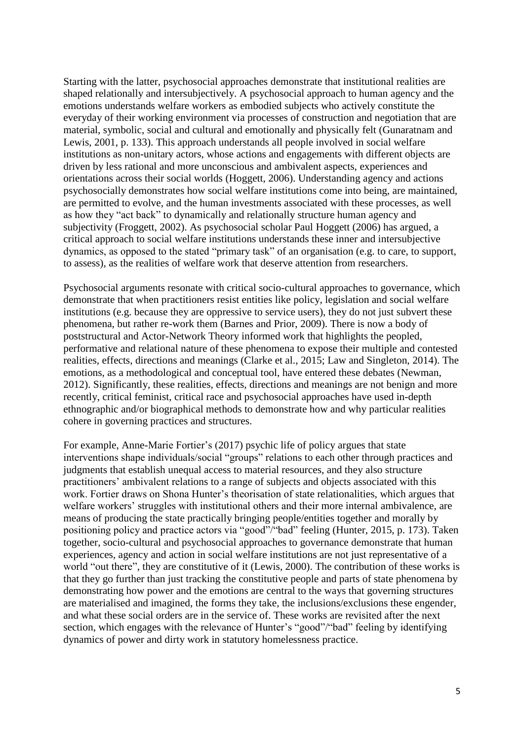Starting with the latter, psychosocial approaches demonstrate that institutional realities are shaped relationally and intersubjectively. A psychosocial approach to human agency and the emotions understands welfare workers as embodied subjects who actively constitute the everyday of their working environment via processes of construction and negotiation that are material, symbolic, social and cultural and emotionally and physically felt (Gunaratnam and Lewis, 2001, p. 133). This approach understands all people involved in social welfare institutions as non-unitary actors, whose actions and engagements with different objects are driven by less rational and more unconscious and ambivalent aspects, experiences and orientations across their social worlds (Hoggett, 2006). Understanding agency and actions psychosocially demonstrates how social welfare institutions come into being, are maintained, are permitted to evolve, and the human investments associated with these processes, as well as how they "act back" to dynamically and relationally structure human agency and subjectivity (Froggett, 2002). As psychosocial scholar Paul Hoggett (2006) has argued, a critical approach to social welfare institutions understands these inner and intersubjective dynamics, as opposed to the stated "primary task" of an organisation (e.g. to care, to support, to assess), as the realities of welfare work that deserve attention from researchers.

Psychosocial arguments resonate with critical socio-cultural approaches to governance, which demonstrate that when practitioners resist entities like policy, legislation and social welfare institutions (e.g. because they are oppressive to service users), they do not just subvert these phenomena, but rather re-work them (Barnes and Prior, 2009). There is now a body of poststructural and Actor-Network Theory informed work that highlights the peopled, performative and relational nature of these phenomena to expose their multiple and contested realities, effects, directions and meanings (Clarke et al., 2015; Law and Singleton, 2014). The emotions, as a methodological and conceptual tool, have entered these debates (Newman, 2012). Significantly, these realities, effects, directions and meanings are not benign and more recently, critical feminist, critical race and psychosocial approaches have used in-depth ethnographic and/or biographical methods to demonstrate how and why particular realities cohere in governing practices and structures.

For example, Anne-Marie Fortier's (2017) psychic life of policy argues that state interventions shape individuals/social "groups" relations to each other through practices and judgments that establish unequal access to material resources, and they also structure practitioners' ambivalent relations to a range of subjects and objects associated with this work. Fortier draws on Shona Hunter's theorisation of state relationalities, which argues that welfare workers' struggles with institutional others and their more internal ambivalence, are means of producing the state practically bringing people/entities together and morally by positioning policy and practice actors via "good"/"bad" feeling (Hunter, 2015, p. 173). Taken together, socio-cultural and psychosocial approaches to governance demonstrate that human experiences, agency and action in social welfare institutions are not just representative of a world "out there", they are constitutive of it (Lewis, 2000). The contribution of these works is that they go further than just tracking the constitutive people and parts of state phenomena by demonstrating how power and the emotions are central to the ways that governing structures are materialised and imagined, the forms they take, the inclusions/exclusions these engender, and what these social orders are in the service of. These works are revisited after the next section, which engages with the relevance of Hunter's "good"/"bad" feeling by identifying dynamics of power and dirty work in statutory homelessness practice.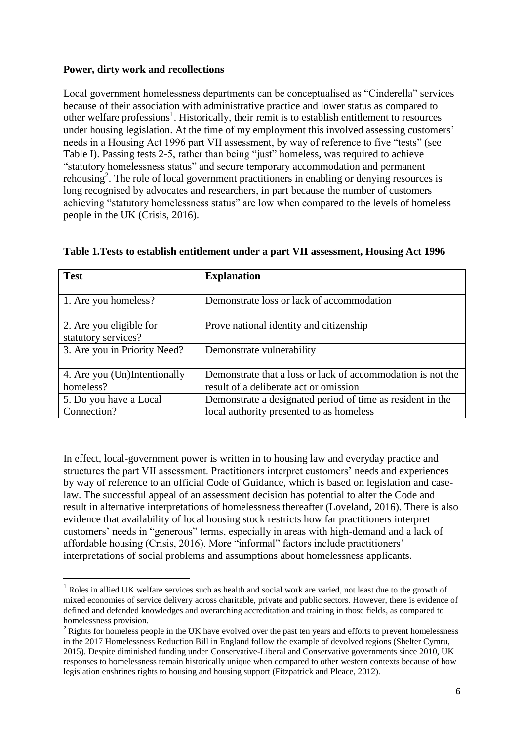## **Power, dirty work and recollections**

1

Local government homelessness departments can be conceptualised as "Cinderella" services because of their association with administrative practice and lower status as compared to other welfare professions<sup>1</sup>. Historically, their remit is to establish entitlement to resources under housing legislation. At the time of my employment this involved assessing customers' needs in a Housing Act 1996 part VII assessment, by way of reference to five "tests" (see Table I). Passing tests 2-5, rather than being "just" homeless, was required to achieve "statutory homelessness status" and secure temporary accommodation and permanent rehousing<sup>2</sup>. The role of local government practitioners in enabling or denying resources is long recognised by advocates and researchers, in part because the number of customers achieving "statutory homelessness status" are low when compared to the levels of homeless people in the UK (Crisis, 2016).

| <b>Test</b>                  | <b>Explanation</b>                                          |
|------------------------------|-------------------------------------------------------------|
|                              |                                                             |
| 1. Are you homeless?         | Demonstrate loss or lack of accommodation                   |
|                              |                                                             |
| 2. Are you eligible for      | Prove national identity and citizenship                     |
| statutory services?          |                                                             |
| 3. Are you in Priority Need? | Demonstrate vulnerability                                   |
|                              |                                                             |
| 4. Are you (Un)Intentionally | Demonstrate that a loss or lack of accommodation is not the |
| homeless?                    | result of a deliberate act or omission                      |
| 5. Do you have a Local       | Demonstrate a designated period of time as resident in the  |
| Connection?                  | local authority presented to as homeless                    |

#### **Table 1.Tests to establish entitlement under a part VII assessment, Housing Act 1996**

In effect, local-government power is written in to housing law and everyday practice and structures the part VII assessment. Practitioners interpret customers' needs and experiences by way of reference to an official Code of Guidance, which is based on legislation and caselaw. The successful appeal of an assessment decision has potential to alter the Code and result in alternative interpretations of homelessness thereafter (Loveland, 2016). There is also evidence that availability of local housing stock restricts how far practitioners interpret customers' needs in "generous" terms, especially in areas with high-demand and a lack of affordable housing (Crisis, 2016). More "informal" factors include practitioners' interpretations of social problems and assumptions about homelessness applicants.

<sup>&</sup>lt;sup>1</sup> Roles in allied UK welfare services such as health and social work are varied, not least due to the growth of mixed economies of service delivery across charitable, private and public sectors. However, there is evidence of defined and defended knowledges and overarching accreditation and training in those fields, as compared to homelessness provision.

<sup>&</sup>lt;sup>2</sup> Rights for homeless people in the UK have evolved over the past ten years and efforts to prevent homelessness in the 2017 Homelessness Reduction Bill in England follow the example of devolved regions (Shelter Cymru, 2015). Despite diminished funding under Conservative-Liberal and Conservative governments since 2010, UK responses to homelessness remain historically unique when compared to other western contexts because of how legislation enshrines rights to housing and housing support (Fitzpatrick and Pleace, 2012).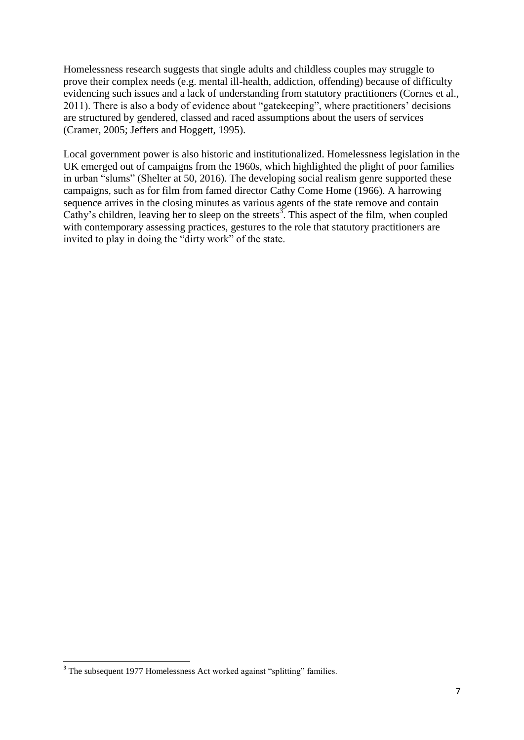Homelessness research suggests that single adults and childless couples may struggle to prove their complex needs (e.g. mental ill-health, addiction, offending) because of difficulty evidencing such issues and a lack of understanding from statutory practitioners (Cornes et al., 2011). There is also a body of evidence about "gatekeeping", where practitioners' decisions are structured by gendered, classed and raced assumptions about the users of services (Cramer, 2005; Jeffers and Hoggett, 1995).

Local government power is also historic and institutionalized. Homelessness legislation in the UK emerged out of campaigns from the 1960s, which highlighted the plight of poor families in urban "slums" (Shelter at 50, 2016). The developing social realism genre supported these campaigns, such as for film from famed director Cathy Come Home (1966). A harrowing sequence arrives in the closing minutes as various agents of the state remove and contain Cathy's children, leaving her to sleep on the streets<sup>3</sup>. This aspect of the film, when coupled with contemporary assessing practices, gestures to the role that statutory practitioners are invited to play in doing the "dirty work" of the state.

**.** 

<sup>&</sup>lt;sup>3</sup> The subsequent 1977 Homelessness Act worked against "splitting" families.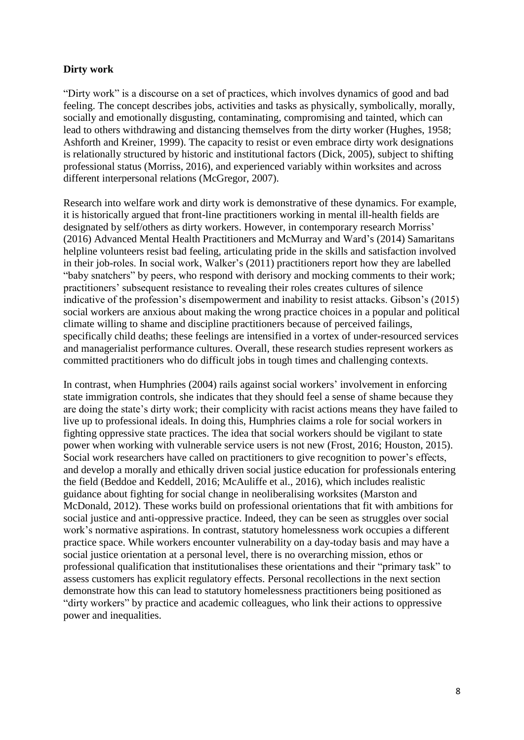#### **Dirty work**

"Dirty work" is a discourse on a set of practices, which involves dynamics of good and bad feeling. The concept describes jobs, activities and tasks as physically, symbolically, morally, socially and emotionally disgusting, contaminating, compromising and tainted, which can lead to others withdrawing and distancing themselves from the dirty worker (Hughes, 1958; Ashforth and Kreiner, 1999). The capacity to resist or even embrace dirty work designations is relationally structured by historic and institutional factors (Dick, 2005), subject to shifting professional status (Morriss, 2016), and experienced variably within worksites and across different interpersonal relations (McGregor, 2007).

Research into welfare work and dirty work is demonstrative of these dynamics. For example, it is historically argued that front-line practitioners working in mental ill-health fields are designated by self/others as dirty workers. However, in contemporary research Morriss' (2016) Advanced Mental Health Practitioners and McMurray and Ward's (2014) Samaritans helpline volunteers resist bad feeling, articulating pride in the skills and satisfaction involved in their job-roles. In social work, Walker's (2011) practitioners report how they are labelled "baby snatchers" by peers, who respond with derisory and mocking comments to their work; practitioners' subsequent resistance to revealing their roles creates cultures of silence indicative of the profession's disempowerment and inability to resist attacks. Gibson's (2015) social workers are anxious about making the wrong practice choices in a popular and political climate willing to shame and discipline practitioners because of perceived failings, specifically child deaths; these feelings are intensified in a vortex of under-resourced services and managerialist performance cultures. Overall, these research studies represent workers as committed practitioners who do difficult jobs in tough times and challenging contexts.

In contrast, when Humphries (2004) rails against social workers' involvement in enforcing state immigration controls, she indicates that they should feel a sense of shame because they are doing the state's dirty work; their complicity with racist actions means they have failed to live up to professional ideals. In doing this, Humphries claims a role for social workers in fighting oppressive state practices. The idea that social workers should be vigilant to state power when working with vulnerable service users is not new (Frost, 2016; Houston, 2015). Social work researchers have called on practitioners to give recognition to power's effects, and develop a morally and ethically driven social justice education for professionals entering the field (Beddoe and Keddell, 2016; McAuliffe et al., 2016), which includes realistic guidance about fighting for social change in neoliberalising worksites (Marston and McDonald, 2012). These works build on professional orientations that fit with ambitions for social justice and anti-oppressive practice. Indeed, they can be seen as struggles over social work's normative aspirations. In contrast, statutory homelessness work occupies a different practice space. While workers encounter vulnerability on a day-today basis and may have a social justice orientation at a personal level, there is no overarching mission, ethos or professional qualification that institutionalises these orientations and their "primary task" to assess customers has explicit regulatory effects. Personal recollections in the next section demonstrate how this can lead to statutory homelessness practitioners being positioned as "dirty workers" by practice and academic colleagues, who link their actions to oppressive power and inequalities.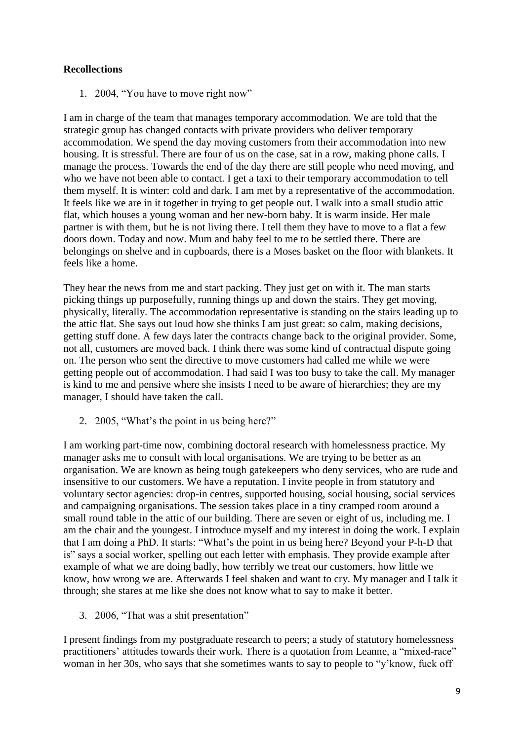# **Recollections**

1. 2004, "You have to move right now"

I am in charge of the team that manages temporary accommodation. We are told that the strategic group has changed contacts with private providers who deliver temporary accommodation. We spend the day moving customers from their accommodation into new housing. It is stressful. There are four of us on the case, sat in a row, making phone calls. I manage the process. Towards the end of the day there are still people who need moving, and who we have not been able to contact. I get a taxi to their temporary accommodation to tell them myself. It is winter: cold and dark. I am met by a representative of the accommodation. It feels like we are in it together in trying to get people out. I walk into a small studio attic flat, which houses a young woman and her new-born baby. It is warm inside. Her male partner is with them, but he is not living there. I tell them they have to move to a flat a few doors down. Today and now. Mum and baby feel to me to be settled there. There are belongings on shelve and in cupboards, there is a Moses basket on the floor with blankets. It feels like a home.

They hear the news from me and start packing. They just get on with it. The man starts picking things up purposefully, running things up and down the stairs. They get moving, physically, literally. The accommodation representative is standing on the stairs leading up to the attic flat. She says out loud how she thinks I am just great: so calm, making decisions, getting stuff done. A few days later the contracts change back to the original provider. Some, not all, customers are moved back. I think there was some kind of contractual dispute going on. The person who sent the directive to move customers had called me while we were getting people out of accommodation. I had said I was too busy to take the call. My manager is kind to me and pensive where she insists I need to be aware of hierarchies; they are my manager, I should have taken the call.

2. 2005, "What's the point in us being here?"

I am working part-time now, combining doctoral research with homelessness practice. My manager asks me to consult with local organisations. We are trying to be better as an organisation. We are known as being tough gatekeepers who deny services, who are rude and insensitive to our customers. We have a reputation. I invite people in from statutory and voluntary sector agencies: drop-in centres, supported housing, social housing, social services and campaigning organisations. The session takes place in a tiny cramped room around a small round table in the attic of our building. There are seven or eight of us, including me. I am the chair and the youngest. I introduce myself and my interest in doing the work. I explain that I am doing a PhD. It starts: "What's the point in us being here? Beyond your P-h-D that is" says a social worker, spelling out each letter with emphasis. They provide example after example of what we are doing badly, how terribly we treat our customers, how little we know, how wrong we are. Afterwards I feel shaken and want to cry. My manager and I talk it through; she stares at me like she does not know what to say to make it better.

3. 2006, "That was a shit presentation"

I present findings from my postgraduate research to peers; a study of statutory homelessness practitioners' attitudes towards their work. There is a quotation from Leanne, a "mixed-race" woman in her 30s, who says that she sometimes wants to say to people to "y'know, fuck off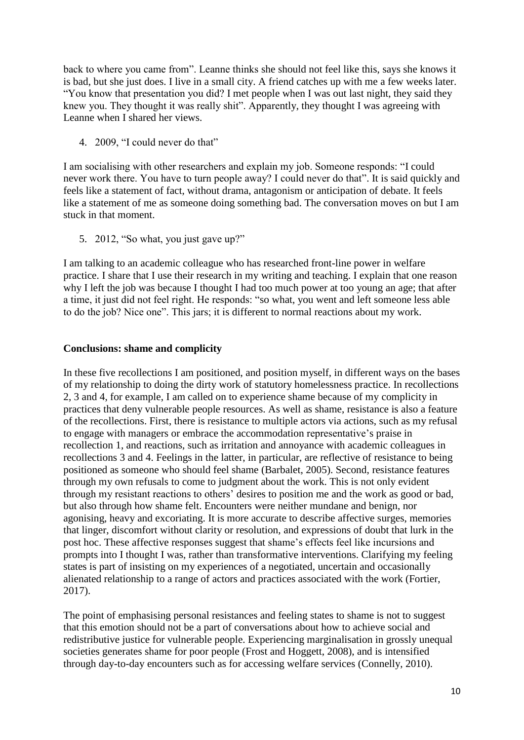back to where you came from". Leanne thinks she should not feel like this, says she knows it is bad, but she just does. I live in a small city. A friend catches up with me a few weeks later. "You know that presentation you did? I met people when I was out last night, they said they knew you. They thought it was really shit". Apparently, they thought I was agreeing with Leanne when I shared her views.

4. 2009, "I could never do that"

I am socialising with other researchers and explain my job. Someone responds: "I could never work there. You have to turn people away? I could never do that". It is said quickly and feels like a statement of fact, without drama, antagonism or anticipation of debate. It feels like a statement of me as someone doing something bad. The conversation moves on but I am stuck in that moment.

5. 2012, "So what, you just gave up?"

I am talking to an academic colleague who has researched front-line power in welfare practice. I share that I use their research in my writing and teaching. I explain that one reason why I left the job was because I thought I had too much power at too young an age; that after a time, it just did not feel right. He responds: "so what, you went and left someone less able to do the job? Nice one". This jars; it is different to normal reactions about my work.

### **Conclusions: shame and complicity**

In these five recollections I am positioned, and position myself, in different ways on the bases of my relationship to doing the dirty work of statutory homelessness practice. In recollections 2, 3 and 4, for example, I am called on to experience shame because of my complicity in practices that deny vulnerable people resources. As well as shame, resistance is also a feature of the recollections. First, there is resistance to multiple actors via actions, such as my refusal to engage with managers or embrace the accommodation representative's praise in recollection 1, and reactions, such as irritation and annoyance with academic colleagues in recollections 3 and 4. Feelings in the latter, in particular, are reflective of resistance to being positioned as someone who should feel shame (Barbalet, 2005). Second, resistance features through my own refusals to come to judgment about the work. This is not only evident through my resistant reactions to others' desires to position me and the work as good or bad, but also through how shame felt. Encounters were neither mundane and benign, nor agonising, heavy and excoriating. It is more accurate to describe affective surges, memories that linger, discomfort without clarity or resolution, and expressions of doubt that lurk in the post hoc. These affective responses suggest that shame's effects feel like incursions and prompts into I thought I was, rather than transformative interventions. Clarifying my feeling states is part of insisting on my experiences of a negotiated, uncertain and occasionally alienated relationship to a range of actors and practices associated with the work (Fortier, 2017).

The point of emphasising personal resistances and feeling states to shame is not to suggest that this emotion should not be a part of conversations about how to achieve social and redistributive justice for vulnerable people. Experiencing marginalisation in grossly unequal societies generates shame for poor people (Frost and Hoggett, 2008), and is intensified through day-to-day encounters such as for accessing welfare services (Connelly, 2010).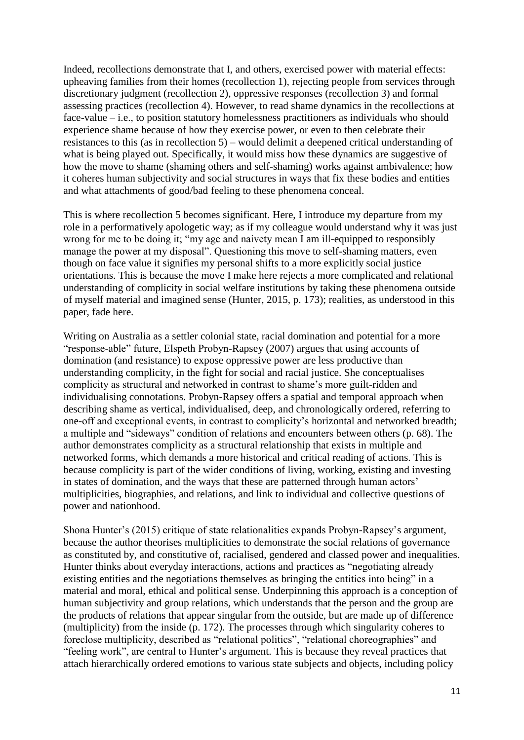Indeed, recollections demonstrate that I, and others, exercised power with material effects: upheaving families from their homes (recollection 1), rejecting people from services through discretionary judgment (recollection 2), oppressive responses (recollection 3) and formal assessing practices (recollection 4). However, to read shame dynamics in the recollections at face-value – i.e., to position statutory homelessness practitioners as individuals who should experience shame because of how they exercise power, or even to then celebrate their resistances to this (as in recollection 5) – would delimit a deepened critical understanding of what is being played out. Specifically, it would miss how these dynamics are suggestive of how the move to shame (shaming others and self-shaming) works against ambivalence; how it coheres human subjectivity and social structures in ways that fix these bodies and entities and what attachments of good/bad feeling to these phenomena conceal.

This is where recollection 5 becomes significant. Here, I introduce my departure from my role in a performatively apologetic way; as if my colleague would understand why it was just wrong for me to be doing it; "my age and naivety mean I am ill-equipped to responsibly manage the power at my disposal". Questioning this move to self-shaming matters, even though on face value it signifies my personal shifts to a more explicitly social justice orientations. This is because the move I make here rejects a more complicated and relational understanding of complicity in social welfare institutions by taking these phenomena outside of myself material and imagined sense (Hunter, 2015, p. 173); realities, as understood in this paper, fade here.

Writing on Australia as a settler colonial state, racial domination and potential for a more "response-able" future, Elspeth Probyn-Rapsey (2007) argues that using accounts of domination (and resistance) to expose oppressive power are less productive than understanding complicity, in the fight for social and racial justice. She conceptualises complicity as structural and networked in contrast to shame's more guilt-ridden and individualising connotations. Probyn-Rapsey offers a spatial and temporal approach when describing shame as vertical, individualised, deep, and chronologically ordered, referring to one-off and exceptional events, in contrast to complicity's horizontal and networked breadth; a multiple and "sideways" condition of relations and encounters between others (p. 68). The author demonstrates complicity as a structural relationship that exists in multiple and networked forms, which demands a more historical and critical reading of actions. This is because complicity is part of the wider conditions of living, working, existing and investing in states of domination, and the ways that these are patterned through human actors' multiplicities, biographies, and relations, and link to individual and collective questions of power and nationhood.

Shona Hunter's (2015) critique of state relationalities expands Probyn-Rapsey's argument, because the author theorises multiplicities to demonstrate the social relations of governance as constituted by, and constitutive of, racialised, gendered and classed power and inequalities. Hunter thinks about everyday interactions, actions and practices as "negotiating already existing entities and the negotiations themselves as bringing the entities into being" in a material and moral, ethical and political sense. Underpinning this approach is a conception of human subjectivity and group relations, which understands that the person and the group are the products of relations that appear singular from the outside, but are made up of difference (multiplicity) from the inside (p. 172). The processes through which singularity coheres to foreclose multiplicity, described as "relational politics", "relational choreographies" and "feeling work", are central to Hunter's argument. This is because they reveal practices that attach hierarchically ordered emotions to various state subjects and objects, including policy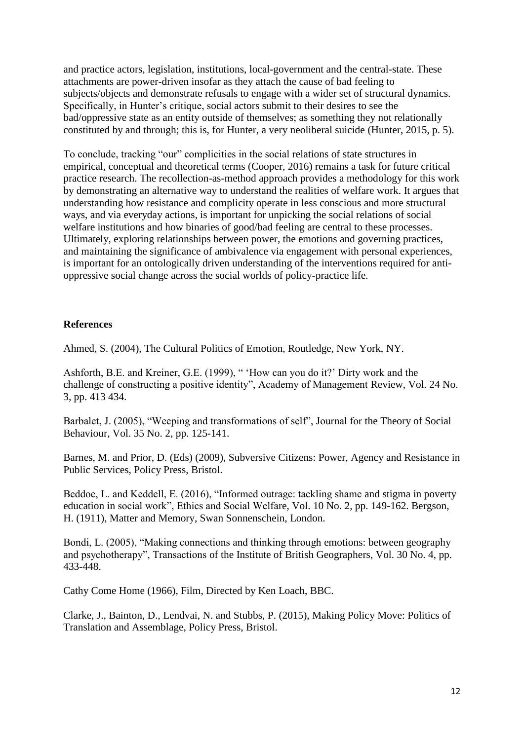and practice actors, legislation, institutions, local-government and the central-state. These attachments are power-driven insofar as they attach the cause of bad feeling to subjects/objects and demonstrate refusals to engage with a wider set of structural dynamics. Specifically, in Hunter's critique, social actors submit to their desires to see the bad/oppressive state as an entity outside of themselves; as something they not relationally constituted by and through; this is, for Hunter, a very neoliberal suicide (Hunter, 2015, p. 5).

To conclude, tracking "our" complicities in the social relations of state structures in empirical, conceptual and theoretical terms (Cooper, 2016) remains a task for future critical practice research. The recollection-as-method approach provides a methodology for this work by demonstrating an alternative way to understand the realities of welfare work. It argues that understanding how resistance and complicity operate in less conscious and more structural ways, and via everyday actions, is important for unpicking the social relations of social welfare institutions and how binaries of good/bad feeling are central to these processes. Ultimately, exploring relationships between power, the emotions and governing practices, and maintaining the significance of ambivalence via engagement with personal experiences, is important for an ontologically driven understanding of the interventions required for antioppressive social change across the social worlds of policy-practice life.

### **References**

Ahmed, S. (2004), The Cultural Politics of Emotion, Routledge, New York, NY.

Ashforth, B.E. and Kreiner, G.E. (1999), " 'How can you do it?' Dirty work and the challenge of constructing a positive identity", Academy of Management Review, Vol. 24 No. 3, pp. 413 434.

Barbalet, J. (2005), "Weeping and transformations of self", Journal for the Theory of Social Behaviour, Vol. 35 No. 2, pp. 125-141.

Barnes, M. and Prior, D. (Eds) (2009), Subversive Citizens: Power, Agency and Resistance in Public Services, Policy Press, Bristol.

Beddoe, L. and Keddell, E. (2016), "Informed outrage: tackling shame and stigma in poverty education in social work", Ethics and Social Welfare, Vol. 10 No. 2, pp. 149-162. Bergson, H. (1911), Matter and Memory, Swan Sonnenschein, London.

Bondi, L. (2005), "Making connections and thinking through emotions: between geography and psychotherapy", Transactions of the Institute of British Geographers, Vol. 30 No. 4, pp. 433-448.

Cathy Come Home (1966), Film, Directed by Ken Loach, BBC.

Clarke, J., Bainton, D., Lendvai, N. and Stubbs, P. (2015), Making Policy Move: Politics of Translation and Assemblage, Policy Press, Bristol.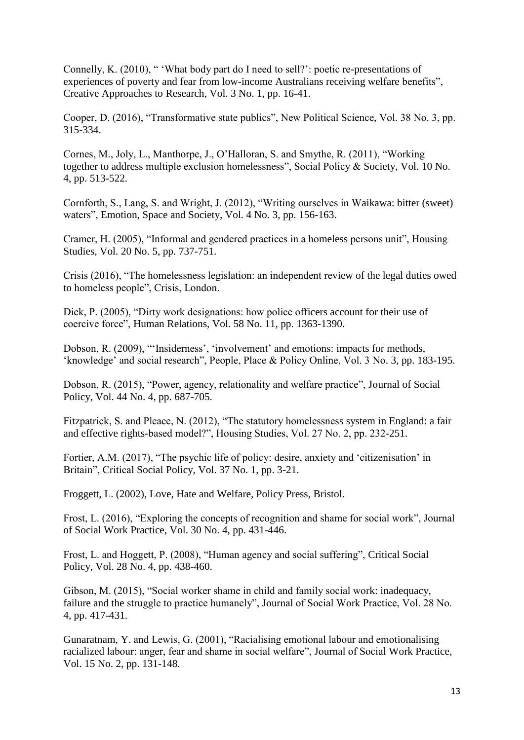Connelly, K. (2010), " 'What body part do I need to sell?': poetic re-presentations of experiences of poverty and fear from low-income Australians receiving welfare benefits", Creative Approaches to Research, Vol. 3 No. 1, pp. 16-41.

Cooper, D. (2016), "Transformative state publics", New Political Science, Vol. 38 No. 3, pp. 315-334.

Cornes, M., Joly, L., Manthorpe, J., O'Halloran, S. and Smythe, R. (2011), "Working together to address multiple exclusion homelessness", Social Policy & Society, Vol. 10 No. 4, pp. 513-522.

Cornforth, S., Lang, S. and Wright, J. (2012), "Writing ourselves in Waikawa: bitter (sweet) waters", Emotion, Space and Society, Vol. 4 No. 3, pp. 156-163.

Cramer, H. (2005), "Informal and gendered practices in a homeless persons unit", Housing Studies, Vol. 20 No. 5, pp. 737-751.

Crisis (2016), "The homelessness legislation: an independent review of the legal duties owed to homeless people", Crisis, London.

Dick, P. (2005), "Dirty work designations: how police officers account for their use of coercive force", Human Relations, Vol. 58 No. 11, pp. 1363-1390.

Dobson, R. (2009), "'Insiderness', 'involvement' and emotions: impacts for methods, 'knowledge' and social research", People, Place & Policy Online, Vol. 3 No. 3, pp. 183-195.

Dobson, R. (2015), "Power, agency, relationality and welfare practice", Journal of Social Policy, Vol. 44 No. 4, pp. 687-705.

Fitzpatrick, S. and Pleace, N. (2012), "The statutory homelessness system in England: a fair and effective rights-based model?", Housing Studies, Vol. 27 No. 2, pp. 232-251.

Fortier, A.M. (2017), "The psychic life of policy: desire, anxiety and 'citizenisation' in Britain", Critical Social Policy, Vol. 37 No. 1, pp. 3-21.

Froggett, L. (2002), Love, Hate and Welfare, Policy Press, Bristol.

Frost, L. (2016), "Exploring the concepts of recognition and shame for social work", Journal of Social Work Practice, Vol. 30 No. 4, pp. 431-446.

Frost, L. and Hoggett, P. (2008), "Human agency and social suffering", Critical Social Policy, Vol. 28 No. 4, pp. 438-460.

Gibson, M. (2015), "Social worker shame in child and family social work: inadequacy, failure and the struggle to practice humanely", Journal of Social Work Practice, Vol. 28 No. 4, pp. 417-431.

Gunaratnam, Y. and Lewis, G. (2001), "Racialising emotional labour and emotionalising racialized labour: anger, fear and shame in social welfare", Journal of Social Work Practice, Vol. 15 No. 2, pp. 131-148.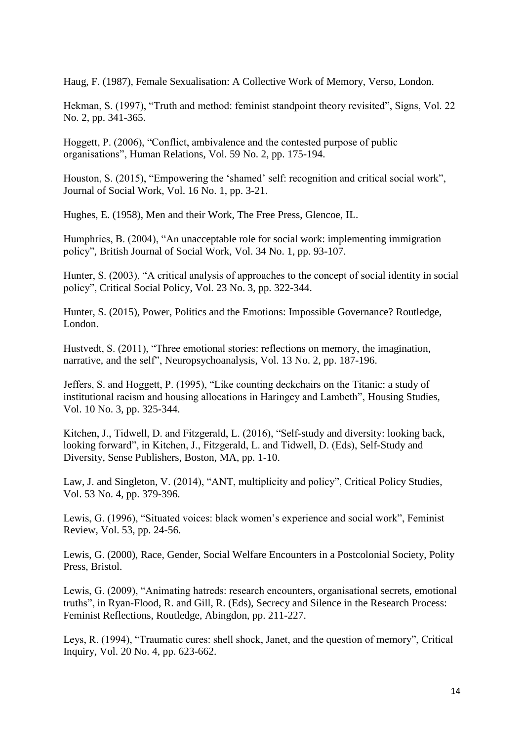Haug, F. (1987), Female Sexualisation: A Collective Work of Memory, Verso, London.

Hekman, S. (1997), "Truth and method: feminist standpoint theory revisited", Signs, Vol. 22 No. 2, pp. 341-365.

Hoggett, P. (2006), "Conflict, ambivalence and the contested purpose of public organisations", Human Relations, Vol. 59 No. 2, pp. 175-194.

Houston, S. (2015), "Empowering the 'shamed' self: recognition and critical social work", Journal of Social Work, Vol. 16 No. 1, pp. 3-21.

Hughes, E. (1958), Men and their Work, The Free Press, Glencoe, IL.

Humphries, B. (2004), "An unacceptable role for social work: implementing immigration policy", British Journal of Social Work, Vol. 34 No. 1, pp. 93-107.

Hunter, S. (2003), "A critical analysis of approaches to the concept of social identity in social policy", Critical Social Policy, Vol. 23 No. 3, pp. 322-344.

Hunter, S. (2015), Power, Politics and the Emotions: Impossible Governance? Routledge, London.

Hustvedt, S. (2011), "Three emotional stories: reflections on memory, the imagination, narrative, and the self", Neuropsychoanalysis, Vol. 13 No. 2, pp. 187-196.

Jeffers, S. and Hoggett, P. (1995), "Like counting deckchairs on the Titanic: a study of institutional racism and housing allocations in Haringey and Lambeth", Housing Studies, Vol. 10 No. 3, pp. 325-344.

Kitchen, J., Tidwell, D. and Fitzgerald, L. (2016), "Self-study and diversity: looking back, looking forward", in Kitchen, J., Fitzgerald, L. and Tidwell, D. (Eds), Self-Study and Diversity, Sense Publishers, Boston, MA, pp. 1-10.

Law, J. and Singleton, V. (2014), "ANT, multiplicity and policy", Critical Policy Studies, Vol. 53 No. 4, pp. 379-396.

Lewis, G. (1996), "Situated voices: black women's experience and social work", Feminist Review, Vol. 53, pp. 24-56.

Lewis, G. (2000), Race, Gender, Social Welfare Encounters in a Postcolonial Society, Polity Press, Bristol.

Lewis, G. (2009), "Animating hatreds: research encounters, organisational secrets, emotional truths", in Ryan-Flood, R. and Gill, R. (Eds), Secrecy and Silence in the Research Process: Feminist Reflections, Routledge, Abingdon, pp. 211-227.

Leys, R. (1994), "Traumatic cures: shell shock, Janet, and the question of memory", Critical Inquiry, Vol. 20 No. 4, pp. 623-662.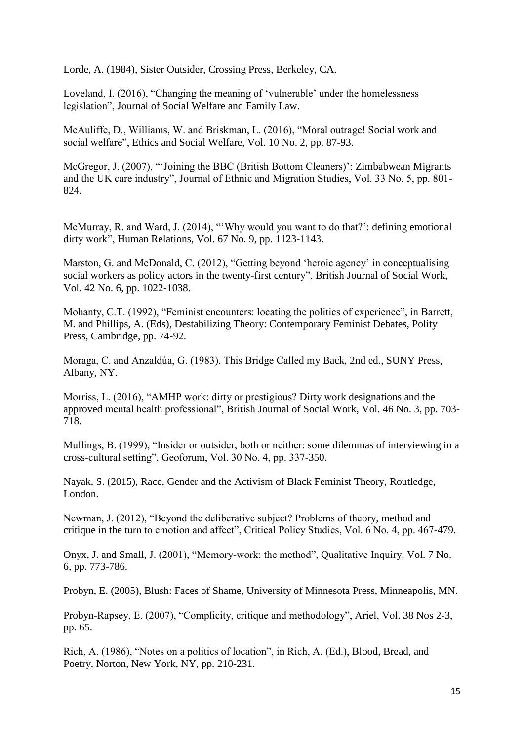Lorde, A. (1984), Sister Outsider, Crossing Press, Berkeley, CA.

Loveland, I. (2016), "Changing the meaning of 'vulnerable' under the homelessness legislation", Journal of Social Welfare and Family Law.

McAuliffe, D., Williams, W. and Briskman, L. (2016), "Moral outrage! Social work and social welfare", Ethics and Social Welfare, Vol. 10 No. 2, pp. 87-93.

McGregor, J. (2007), "'Joining the BBC (British Bottom Cleaners)': Zimbabwean Migrants and the UK care industry", Journal of Ethnic and Migration Studies, Vol. 33 No. 5, pp. 801- 824.

McMurray, R. and Ward, J. (2014), "'Why would you want to do that?': defining emotional dirty work", Human Relations, Vol. 67 No. 9, pp. 1123-1143.

Marston, G. and McDonald, C. (2012), "Getting beyond 'heroic agency' in conceptualising social workers as policy actors in the twenty-first century", British Journal of Social Work, Vol. 42 No. 6, pp. 1022-1038.

Mohanty, C.T. (1992), "Feminist encounters: locating the politics of experience", in Barrett, M. and Phillips, A. (Eds), Destabilizing Theory: Contemporary Feminist Debates, Polity Press, Cambridge, pp. 74-92.

Moraga, C. and Anzaldúa, G. (1983), This Bridge Called my Back, 2nd ed., SUNY Press, Albany, NY.

Morriss, L. (2016), "AMHP work: dirty or prestigious? Dirty work designations and the approved mental health professional", British Journal of Social Work, Vol. 46 No. 3, pp. 703- 718.

Mullings, B. (1999), "Insider or outsider, both or neither: some dilemmas of interviewing in a cross-cultural setting", Geoforum, Vol. 30 No. 4, pp. 337-350.

Nayak, S. (2015), Race, Gender and the Activism of Black Feminist Theory, Routledge, London.

Newman, J. (2012), "Beyond the deliberative subject? Problems of theory, method and critique in the turn to emotion and affect", Critical Policy Studies, Vol. 6 No. 4, pp. 467-479.

Onyx, J. and Small, J. (2001), "Memory-work: the method", Qualitative Inquiry, Vol. 7 No. 6, pp. 773-786.

Probyn, E. (2005), Blush: Faces of Shame, University of Minnesota Press, Minneapolis, MN.

Probyn-Rapsey, E. (2007), "Complicity, critique and methodology", Ariel, Vol. 38 Nos 2-3, pp. 65.

Rich, A. (1986), "Notes on a politics of location", in Rich, A. (Ed.), Blood, Bread, and Poetry, Norton, New York, NY, pp. 210-231.